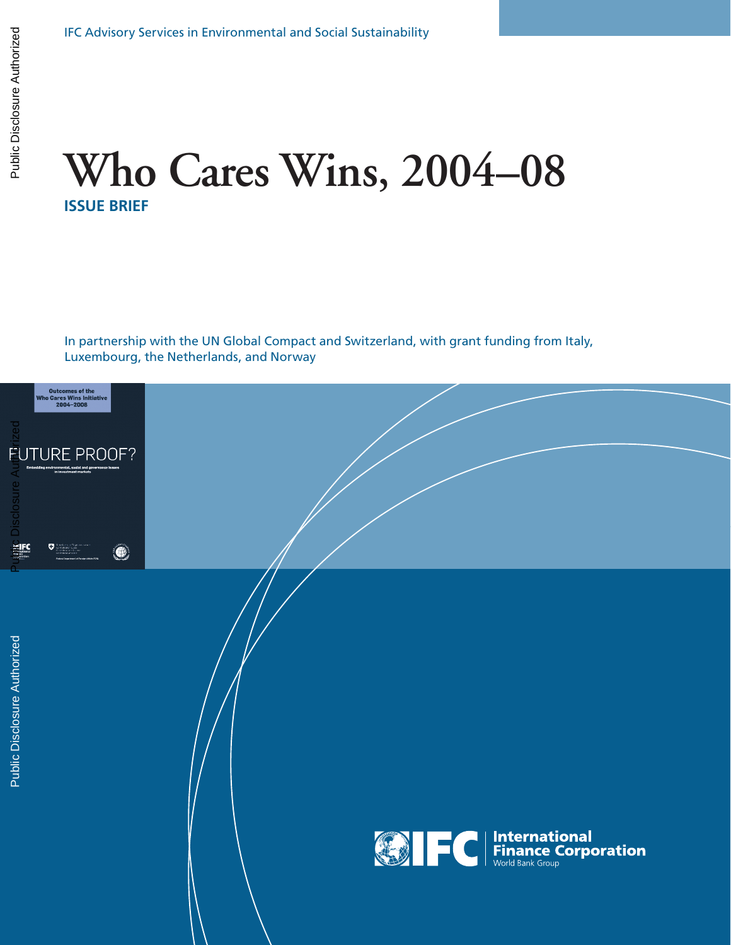# **Who Cares Wins, 2004–08 ISSUE BRIEF**

In partnership with the UN Global Compact and Switzerland, with grant funding from Italy, Luxembourg, the Netherlands, and Norway

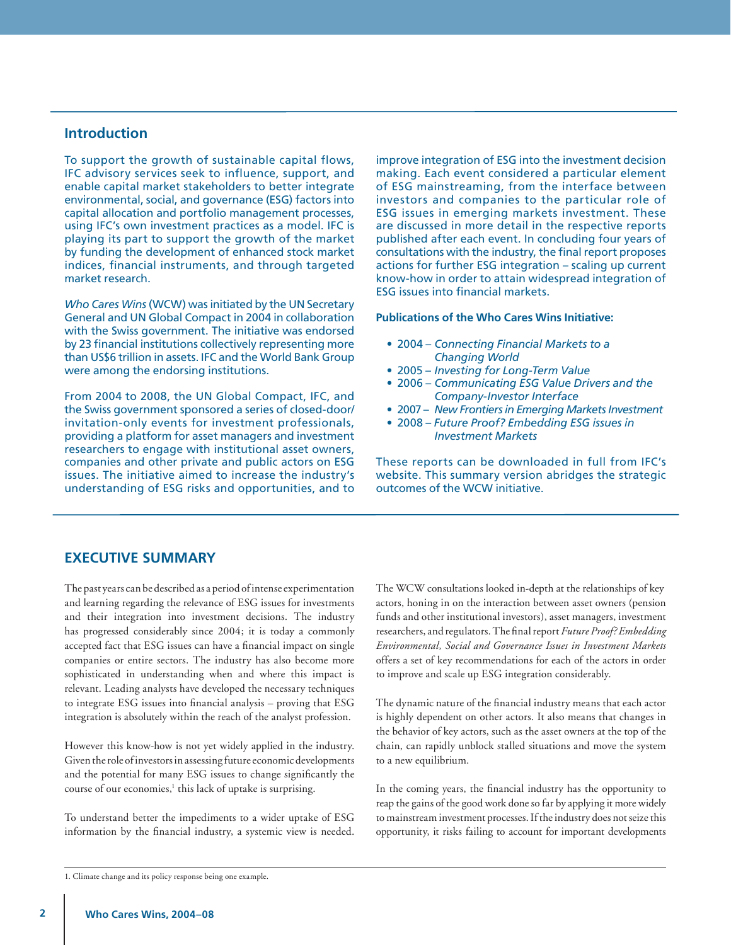## **Introduction**

To support the growth of sustainable capital flows, IFC advisory services seek to influence, support, and enable capital market stakeholders to better integrate environmental, social, and governance (ESG) factors into capital allocation and portfolio management processes, using IFC's own investment practices as a model. IFC is playing its part to support the growth of the market by funding the development of enhanced stock market indices, financial instruments, and through targeted market research.

*Who Cares Wins* (WCW) was initiated by the UN Secretary General and UN Global Compact in 2004 in collaboration with the Swiss government. The initiative was endorsed by 23 financial institutions collectively representing more than US\$6 trillion in assets. IFC and the World Bank Group were among the endorsing institutions.

From 2004 to 2008, the UN Global Compact, IFC, and the Swiss government sponsored a series of closed-door/ invitation-only events for investment professionals, providing a platform for asset managers and investment researchers to engage with institutional asset owners, companies and other private and public actors on ESG issues. The initiative aimed to increase the industry's understanding of ESG risks and opportunities, and to

improve integration of ESG into the investment decision making. Each event considered a particular element of ESG mainstreaming, from the interface between investors and companies to the particular role of ESG issues in emerging markets investment. These are discussed in more detail in the respective reports published after each event. In concluding four years of consultations with the industry, the final report proposes actions for further ESG integration – scaling up current know-how in order to attain widespread integration of ESG issues into financial markets.

#### **Publications of the Who Cares Wins Initiative:**

- 2004 *Connecting Financial Markets to a Changing World*
- 2005 *Investing for Long-Term Value*
- 2006 *Communicating ESG Value Drivers and the Company-Investor Interface*
- 2007 *New Frontiers in Emerging Markets Investment*
- 2008 *Future Proof? Embedding ESG issues in Investment Markets*

These reports can be downloaded in full from IFC's website. This summary version abridges the strategic outcomes of the WCW initiative.

## **EXECUTIVE SUMMARY**

The past years can be described as a period of intense experimentation and learning regarding the relevance of ESG issues for investments and their integration into investment decisions. The industry has progressed considerably since 2004; it is today a commonly accepted fact that ESG issues can have a financial impact on single companies or entire sectors. The industry has also become more sophisticated in understanding when and where this impact is relevant. Leading analysts have developed the necessary techniques to integrate ESG issues into financial analysis – proving that ESG integration is absolutely within the reach of the analyst profession.

However this know-how is not yet widely applied in the industry. Given the role of investors in assessing future economic developments and the potential for many ESG issues to change significantly the course of our economies,<sup>1</sup> this lack of uptake is surprising.

To understand better the impediments to a wider uptake of ESG information by the financial industry, a systemic view is needed. The WCW consultations looked in-depth at the relationships of key actors, honing in on the interaction between asset owners (pension funds and other institutional investors), asset managers, investment researchers, and regulators. The final report *Future Proof? Embedding Environmental, Social and Governance Issues in Investment Markets* offers a set of key recommendations for each of the actors in order to improve and scale up ESG integration considerably.

The dynamic nature of the financial industry means that each actor is highly dependent on other actors. It also means that changes in the behavior of key actors, such as the asset owners at the top of the chain, can rapidly unblock stalled situations and move the system to a new equilibrium.

In the coming years, the financial industry has the opportunity to reap the gains of the good work done so far by applying it more widely to mainstream investment processes. If the industry does not seize this opportunity, it risks failing to account for important developments

<sup>1.</sup> Climate change and its policy response being one example.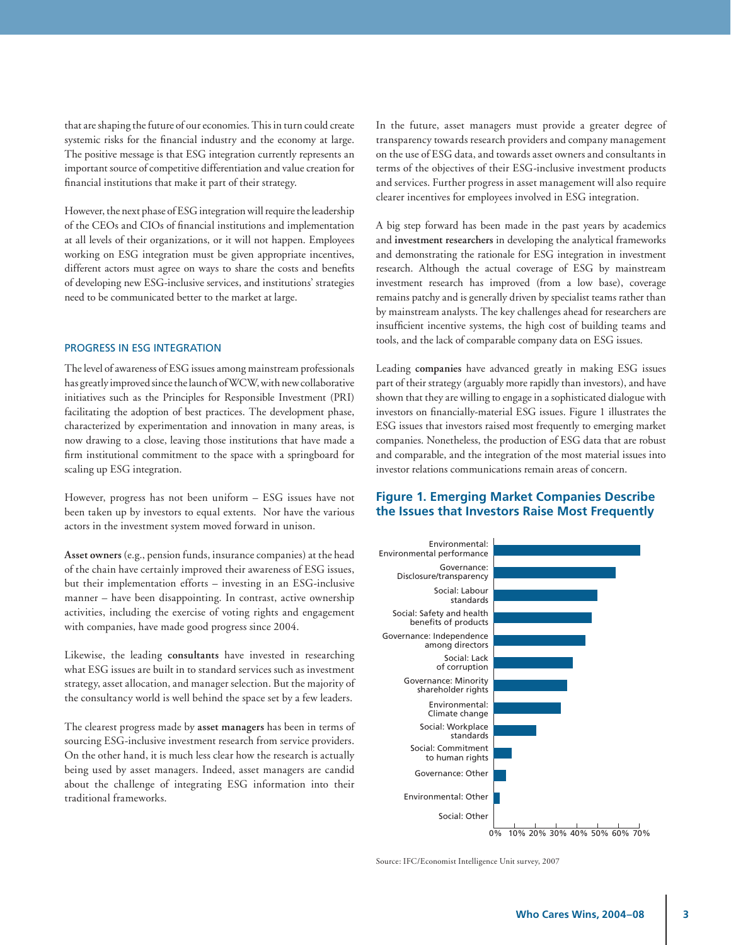that are shaping the future of our economies. This in turn could create systemic risks for the financial industry and the economy at large. The positive message is that ESG integration currently represents an important source of competitive differentiation and value creation for financial institutions that make it part of their strategy.

However, the next phase of ESG integration will require the leadership of the CEOs and CIOs of financial institutions and implementation at all levels of their organizations, or it will not happen. Employees working on ESG integration must be given appropriate incentives, different actors must agree on ways to share the costs and benefits of developing new ESG-inclusive services, and institutions' strategies need to be communicated better to the market at large.

#### PROGRESS IN ESG INTEGRATION

The level of awareness of ESG issues among mainstream professionals has greatly improved since the launch of WCW, with new collaborative initiatives such as the Principles for Responsible Investment (PRI) facilitating the adoption of best practices. The development phase, characterized by experimentation and innovation in many areas, is now drawing to a close, leaving those institutions that have made a firm institutional commitment to the space with a springboard for scaling up ESG integration.

However, progress has not been uniform – ESG issues have not been taken up by investors to equal extents. Nor have the various actors in the investment system moved forward in unison.

**Asset owners** (e.g., pension funds, insurance companies) at the head of the chain have certainly improved their awareness of ESG issues, but their implementation efforts – investing in an ESG-inclusive manner – have been disappointing. In contrast, active ownership activities, including the exercise of voting rights and engagement with companies, have made good progress since 2004.

Likewise, the leading **consultants** have invested in researching what ESG issues are built in to standard services such as investment strategy, asset allocation, and manager selection. But the majority of the consultancy world is well behind the space set by a few leaders.

The clearest progress made by **asset managers** has been in terms of sourcing ESG-inclusive investment research from service providers. On the other hand, it is much less clear how the research is actually being used by asset managers. Indeed, asset managers are candid about the challenge of integrating ESG information into their traditional frameworks.

In the future, asset managers must provide a greater degree of transparency towards research providers and company management on the use of ESG data, and towards asset owners and consultants in terms of the objectives of their ESG-inclusive investment products and services. Further progress in asset management will also require clearer incentives for employees involved in ESG integration.

A big step forward has been made in the past years by academics and **investment researchers** in developing the analytical frameworks and demonstrating the rationale for ESG integration in investment research. Although the actual coverage of ESG by mainstream investment research has improved (from a low base), coverage remains patchy and is generally driven by specialist teams rather than by mainstream analysts. The key challenges ahead for researchers are insufficient incentive systems, the high cost of building teams and tools, and the lack of comparable company data on ESG issues.

Leading **companies** have advanced greatly in making ESG issues part of their strategy (arguably more rapidly than investors), and have shown that they are willing to engage in a sophisticated dialogue with investors on financially-material ESG issues. Figure 1 illustrates the ESG issues that investors raised most frequently to emerging market companies. Nonetheless, the production of ESG data that are robust and comparable, and the integration of the most material issues into investor relations communications remain areas of concern.

### **Figure 1. Emerging Market Companies Describe the Issues that Investors Raise Most Frequently**



Source: IFC/Economist Intelligence Unit survey, 2007